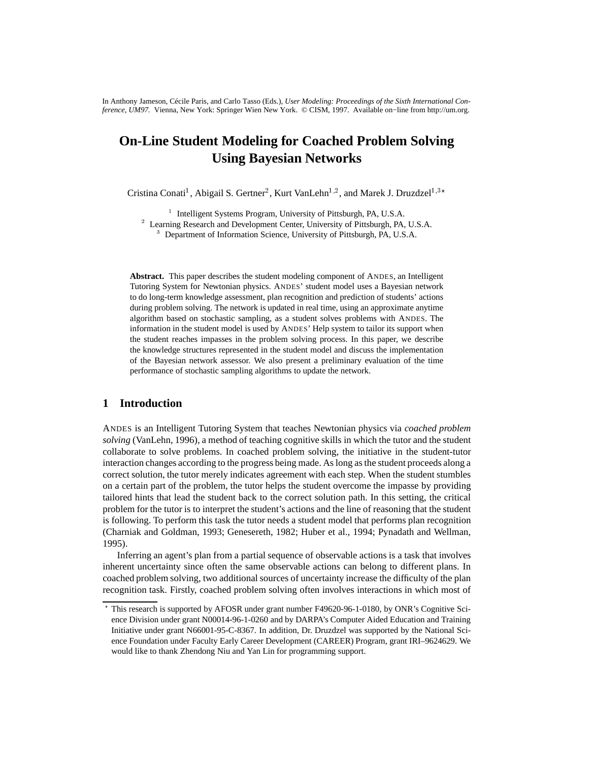In Anthony Jameson, Cécile Paris, and Carlo Tasso (Eds.), *User Modeling: Proceedings of the Sixth International Conference, UM97.* Vienna, New York: Springer Wien New York. © CISM, 1997. Available on−line from http://um.org.

# **On-Line Student Modeling for Coached Problem Solving Using Bayesian Networks**

Cristina Conati<sup>1</sup>, Abigail S. Gertner<sup>2</sup>, Kurt VanLehn<sup>1,2</sup>, and Marek J. Druzdzel<sup>1,3</sup>\*

<sup>1</sup> Intelligent Systems Program, University of Pittsburgh, PA, U.S.A.

<sup>2</sup> Learning Research and Development Center, University of Pittsburgh, PA, U.S.A.

Department of Information Science, University of Pittsburgh, PA, U.S.A.

**Abstract.** This paper describes the student modeling component of ANDES, an Intelligent Tutoring System for Newtonian physics. ANDES' student model uses a Bayesian network to do long-term knowledge assessment, plan recognition and prediction of students' actions during problem solving. The network is updated in real time, using an approximate anytime algorithm based on stochastic sampling, as a student solves problems with ANDES. The information in the student model is used by ANDES' Help system to tailor its support when the student reaches impasses in the problem solving process. In this paper, we describe the knowledge structures represented in the student model and discuss the implementation of the Bayesian network assessor. We also present a preliminary evaluation of the time performance of stochastic sampling algorithms to update the network.

# **1 Introduction**

ANDES is an Intelligent Tutoring System that teaches Newtonian physics via *coached problem solving* (VanLehn, 1996), a method of teaching cognitive skills in which the tutor and the student collaborate to solve problems. In coached problem solving, the initiative in the student-tutor interaction changes according to the progress being made. As long as the student proceeds along a correct solution, the tutor merely indicates agreement with each step. When the student stumbles on a certain part of the problem, the tutor helps the student overcome the impasse by providing tailored hints that lead the student back to the correct solution path. In this setting, the critical problem for the tutor is to interpret the student's actions and the line of reasoning that the student is following. To perform this task the tutor needs a student model that performs plan recognition (Charniak and Goldman, 1993; Genesereth, 1982; Huber et al., 1994; Pynadath and Wellman, 1995).

Inferring an agent's plan from a partial sequence of observable actions is a task that involves inherent uncertainty since often the same observable actions can belong to different plans. In coached problem solving, two additional sources of uncertainty increase the difficulty of the plan recognition task. Firstly, coached problem solving often involves interactions in which most of

This research is supported by AFOSR under grant number F49620-96-1-0180, by ONR's Cognitive Science Division under grant N00014-96-1-0260 and by DARPA's Computer Aided Education and Training Initiative under grant N66001-95-C-8367. In addition, Dr. Druzdzel was supported by the National Science Foundation under Faculty Early Career Development (CAREER) Program, grant IRI–9624629. We would like to thank Zhendong Niu and Yan Lin for programming support.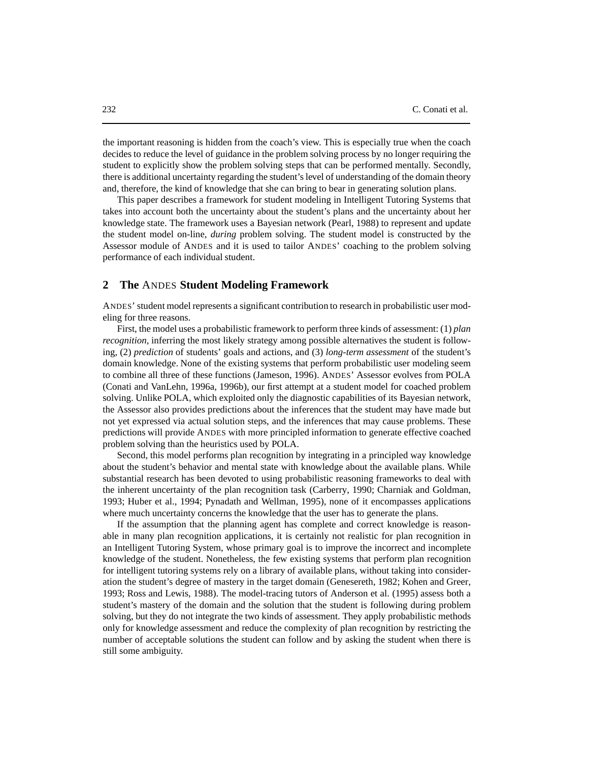the important reasoning is hidden from the coach's view. This is especially true when the coach decides to reduce the level of guidance in the problem solving process by no longer requiring the student to explicitly show the problem solving steps that can be performed mentally. Secondly, there is additional uncertainty regarding the student's level of understanding of the domain theory and, therefore, the kind of knowledge that she can bring to bear in generating solution plans.

This paper describes a framework for student modeling in Intelligent Tutoring Systems that takes into account both the uncertainty about the student's plans and the uncertainty about her knowledge state. The framework uses a Bayesian network (Pearl, 1988) to represent and update the student model on-line, *during* problem solving. The student model is constructed by the Assessor module of ANDES and it is used to tailor ANDES' coaching to the problem solving performance of each individual student.

# **2 The** ANDES **Student Modeling Framework**

ANDES' student model represents a significant contribution to research in probabilistic user modeling for three reasons.

First, the model uses a probabilistic framework to perform three kinds of assessment: (1) *plan recognition*, inferring the most likely strategy among possible alternatives the student is following, (2) *prediction* of students' goals and actions, and (3) *long-term assessment* of the student's domain knowledge. None of the existing systems that perform probabilistic user modeling seem to combine all three of these functions (Jameson, 1996). ANDES' Assessor evolves from POLA (Conati and VanLehn, 1996a, 1996b), our first attempt at a student model for coached problem solving. Unlike POLA, which exploited only the diagnostic capabilities of its Bayesian network, the Assessor also provides predictions about the inferences that the student may have made but not yet expressed via actual solution steps, and the inferences that may cause problems. These predictions will provide ANDES with more principled information to generate effective coached problem solving than the heuristics used by POLA.

Second, this model performs plan recognition by integrating in a principled way knowledge about the student's behavior and mental state with knowledge about the available plans. While substantial research has been devoted to using probabilistic reasoning frameworks to deal with the inherent uncertainty of the plan recognition task (Carberry, 1990; Charniak and Goldman, 1993; Huber et al., 1994; Pynadath and Wellman, 1995), none of it encompasses applications where much uncertainty concerns the knowledge that the user has to generate the plans.

If the assumption that the planning agent has complete and correct knowledge is reasonable in many plan recognition applications, it is certainly not realistic for plan recognition in an Intelligent Tutoring System, whose primary goal is to improve the incorrect and incomplete knowledge of the student. Nonetheless, the few existing systems that perform plan recognition for intelligent tutoring systems rely on a library of available plans, without taking into consideration the student's degree of mastery in the target domain (Genesereth, 1982; Kohen and Greer, 1993; Ross and Lewis, 1988). The model-tracing tutors of Anderson et al. (1995) assess both a student's mastery of the domain and the solution that the student is following during problem solving, but they do not integrate the two kinds of assessment. They apply probabilistic methods only for knowledge assessment and reduce the complexity of plan recognition by restricting the number of acceptable solutions the student can follow and by asking the student when there is still some ambiguity.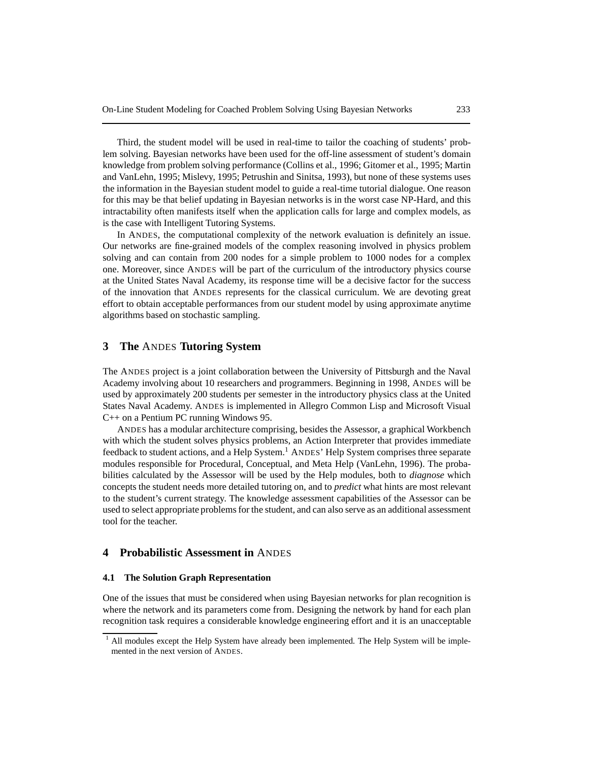Third, the student model will be used in real-time to tailor the coaching of students' problem solving. Bayesian networks have been used for the off-line assessment of student's domain knowledge from problem solving performance (Collins et al., 1996; Gitomer et al., 1995; Martin and VanLehn, 1995; Mislevy, 1995; Petrushin and Sinitsa, 1993), but none of these systems uses the information in the Bayesian student model to guide a real-time tutorial dialogue. One reason for this may be that belief updating in Bayesian networks is in the worst case NP-Hard, and this intractability often manifests itself when the application calls for large and complex models, as is the case with Intelligent Tutoring Systems.

In ANDES, the computational complexity of the network evaluation is definitely an issue. Our networks are fine-grained models of the complex reasoning involved in physics problem solving and can contain from 200 nodes for a simple problem to 1000 nodes for a complex one. Moreover, since ANDES will be part of the curriculum of the introductory physics course at the United States Naval Academy, its response time will be a decisive factor for the success of the innovation that ANDES represents for the classical curriculum. We are devoting great effort to obtain acceptable performances from our student model by using approximate anytime algorithms based on stochastic sampling.

### **3 The** ANDES **Tutoring System**

The ANDES project is a joint collaboration between the University of Pittsburgh and the Naval Academy involving about 10 researchers and programmers. Beginning in 1998, ANDES will be used by approximately 200 students per semester in the introductory physics class at the United States Naval Academy. ANDES is implemented in Allegro Common Lisp and Microsoft Visual C++ on a Pentium PC running Windows 95.

ANDES has a modular architecture comprising, besides the Assessor, a graphical Workbench with which the student solves physics problems, an Action Interpreter that provides immediate feedback to student actions, and a Help System.<sup>1</sup> ANDES' Help System comprises three separate modules responsible for Procedural, Conceptual, and Meta Help (VanLehn, 1996). The probabilities calculated by the Assessor will be used by the Help modules, both to *diagnose* which concepts the student needs more detailed tutoring on, and to *predict* what hints are most relevant to the student's current strategy. The knowledge assessment capabilities of the Assessor can be used to select appropriate problems for the student, and can also serve as an additional assessment tool for the teacher.

# **4 Probabilistic Assessment in** ANDES

#### **4.1 The Solution Graph Representation**

One of the issues that must be considered when using Bayesian networks for plan recognition is where the network and its parameters come from. Designing the network by hand for each plan recognition task requires a considerable knowledge engineering effort and it is an unacceptable

 $<sup>1</sup>$  All modules except the Help System have already been implemented. The Help System will be imple-</sup> mented in the next version of ANDES.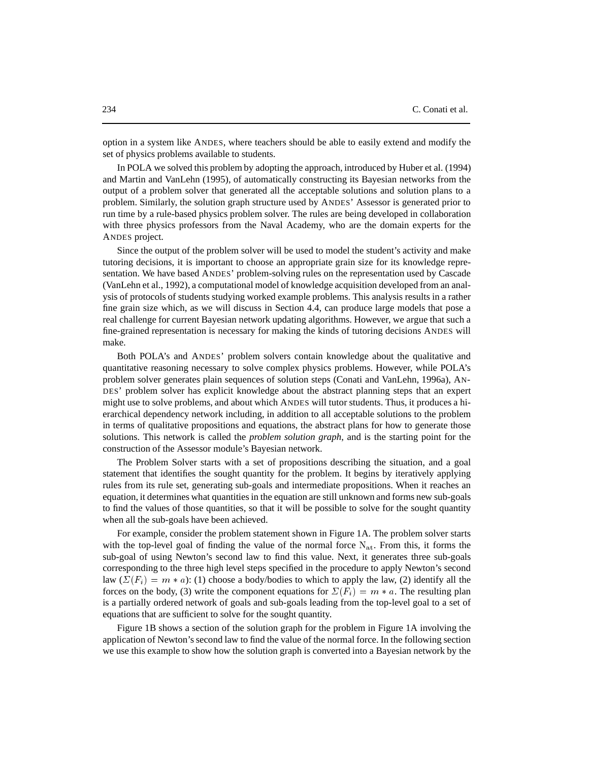option in a system like ANDES, where teachers should be able to easily extend and modify the set of physics problems available to students.

In POLA we solved this problem by adopting the approach, introduced by Huber et al. (1994) and Martin and VanLehn (1995), of automatically constructing its Bayesian networks from the output of a problem solver that generated all the acceptable solutions and solution plans to a problem. Similarly, the solution graph structure used by ANDES' Assessor is generated prior to run time by a rule-based physics problem solver. The rules are being developed in collaboration with three physics professors from the Naval Academy, who are the domain experts for the ANDES project.

Since the output of the problem solver will be used to model the student's activity and make tutoring decisions, it is important to choose an appropriate grain size for its knowledge representation. We have based ANDES' problem-solving rules on the representation used by Cascade (VanLehn et al., 1992), a computational model of knowledge acquisition developed from an analysis of protocols of students studying worked example problems. This analysis results in a rather fine grain size which, as we will discuss in Section 4.4, can produce large models that pose a real challenge for current Bayesian network updating algorithms. However, we argue that such a fine-grained representation is necessary for making the kinds of tutoring decisions ANDES will make.

Both POLA's and ANDES' problem solvers contain knowledge about the qualitative and quantitative reasoning necessary to solve complex physics problems. However, while POLA's problem solver generates plain sequences of solution steps (Conati and VanLehn, 1996a), AN-DES' problem solver has explicit knowledge about the abstract planning steps that an expert might use to solve problems, and about which ANDES will tutor students. Thus, it produces a hierarchical dependency network including, in addition to all acceptable solutions to the problem in terms of qualitative propositions and equations, the abstract plans for how to generate those solutions. This network is called the *problem solution graph*, and is the starting point for the construction of the Assessor module's Bayesian network.

The Problem Solver starts with a set of propositions describing the situation, and a goal statement that identifies the sought quantity for the problem. It begins by iteratively applying rules from its rule set, generating sub-goals and intermediate propositions. When it reaches an equation, it determines what quantities in the equation are still unknown and forms new sub-goals to find the values of those quantities, so that it will be possible to solve for the sought quantity when all the sub-goals have been achieved.

For example, consider the problem statement shown in Figure 1A. The problem solver starts with the top-level goal of finding the value of the normal force  $N_{at}$ . From this, it forms the sub-goal of using Newton's second law to find this value. Next, it generates three sub-goals corresponding to the three high level steps specified in the procedure to apply Newton's second law  $(\Sigma(F_i) = m * a)$ : (1) choose a body/bodies to which to apply the law, (2) identify all the forces on the body, (3) write the component equations for  $\Sigma(F_i) = m * a$ . The resulting plan is a partially ordered network of goals and sub-goals leading from the top-level goal to a set of equations that are sufficient to solve for the sought quantity.

Figure 1B shows a section of the solution graph for the problem in Figure 1A involving the application of Newton's second law to find the value of the normal force. In the following section we use this example to show how the solution graph is converted into a Bayesian network by the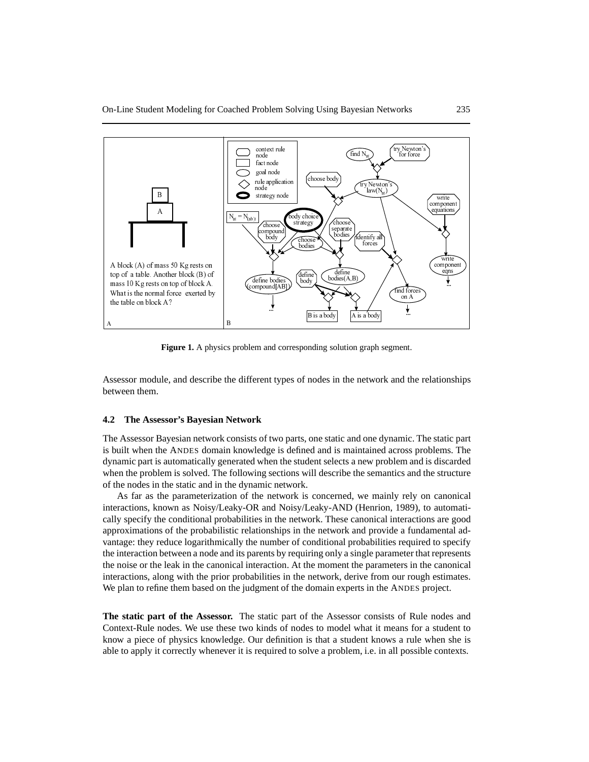

**Figure 1.** A physics problem and corresponding solution graph segment.

Assessor module, and describe the different types of nodes in the network and the relationships between them.

#### **4.2 The Assessor's Bayesian Network**

The Assessor Bayesian network consists of two parts, one static and one dynamic. The static part is built when the ANDES domain knowledge is defined and is maintained across problems. The dynamic part is automatically generated when the student selects a new problem and is discarded when the problem is solved. The following sections will describe the semantics and the structure of the nodes in the static and in the dynamic network.

As far as the parameterization of the network is concerned, we mainly rely on canonical interactions, known as Noisy/Leaky-OR and Noisy/Leaky-AND (Henrion, 1989), to automatically specify the conditional probabilities in the network. These canonical interactions are good approximations of the probabilistic relationships in the network and provide a fundamental advantage: they reduce logarithmically the number of conditional probabilities required to specify the interaction between a node and its parents by requiring only a single parameter that represents the noise or the leak in the canonical interaction. At the moment the parameters in the canonical interactions, along with the prior probabilities in the network, derive from our rough estimates. We plan to refine them based on the judgment of the domain experts in the ANDES project.

**The static part of the Assessor.** The static part of the Assessor consists of Rule nodes and Context-Rule nodes. We use these two kinds of nodes to model what it means for a student to know a piece of physics knowledge. Our definition is that a student knows a rule when she is able to apply it correctly whenever it is required to solve a problem, i.e. in all possible contexts.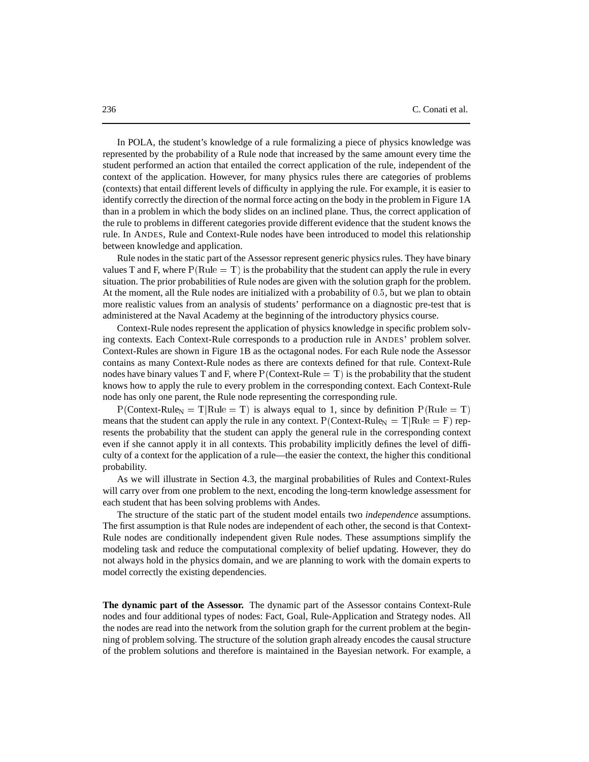In POLA, the student's knowledge of a rule formalizing a piece of physics knowledge was represented by the probability of a Rule node that increased by the same amount every time the student performed an action that entailed the correct application of the rule, independent of the context of the application. However, for many physics rules there are categories of problems (contexts) that entail different levels of difficulty in applying the rule. For example, it is easier to identify correctly the direction of the normal force acting on the body in the problem in Figure 1A than in a problem in which the body slides on an inclined plane. Thus, the correct application of the rule to problems in different categories provide different evidence that the student knows the rule. In ANDES, Rule and Context-Rule nodes have been introduced to model this relationship between knowledge and application.

Rule nodes in the static part of the Assessor represent generic physics rules. They have binary values T and F, where  $P(Rule = T)$  is the probability that the student can apply the rule in every situation. The prior probabilities of Rule nodes are given with the solution graph for the problem. At the moment, all the Rule nodes are initialized with a probability of 0:5, but we plan to obtain more realistic values from an analysis of students' performance on a diagnostic pre-test that is administered at the Naval Academy at the beginning of the introductory physics course.

Context-Rule nodes represent the application of physics knowledge in specific problem solving contexts. Each Context-Rule corresponds to a production rule in ANDES' problem solver. Context-Rules are shown in Figure 1B as the octagonal nodes. For each Rule node the Assessor contains as many Context-Rule nodes as there are contexts defined for that rule. Context-Rule nodes have binary values T and F, where  $P$  (Context-Rule  $= T$ ) is the probability that the student knows how to apply the rule to every problem in the corresponding context. Each Context-Rule node has only one parent, the Rule node representing the corresponding rule.

P(Context-Rule<sub>N</sub> = T|Rule = T) is always equal to 1, since by definition P(Rule = T) means that the student can apply the rule in any context. P(Context-Rule<sub>N</sub> = T|Rule = F) represents the probability that the student can apply the general rule in the corresponding context even if she cannot apply it in all contexts. This probability implicitly defines the level of difficulty of a context for the application of a rule—the easier the context, the higher this conditional probability.

As we will illustrate in Section 4.3, the marginal probabilities of Rules and Context-Rules will carry over from one problem to the next, encoding the long-term knowledge assessment for each student that has been solving problems with Andes.

The structure of the static part of the student model entails two *independence* assumptions. The first assumption is that Rule nodes are independent of each other, the second is that Context-Rule nodes are conditionally independent given Rule nodes. These assumptions simplify the modeling task and reduce the computational complexity of belief updating. However, they do not always hold in the physics domain, and we are planning to work with the domain experts to model correctly the existing dependencies.

**The dynamic part of the Assessor.** The dynamic part of the Assessor contains Context-Rule nodes and four additional types of nodes: Fact, Goal, Rule-Application and Strategy nodes. All the nodes are read into the network from the solution graph for the current problem at the beginning of problem solving. The structure of the solution graph already encodes the causal structure of the problem solutions and therefore is maintained in the Bayesian network. For example, a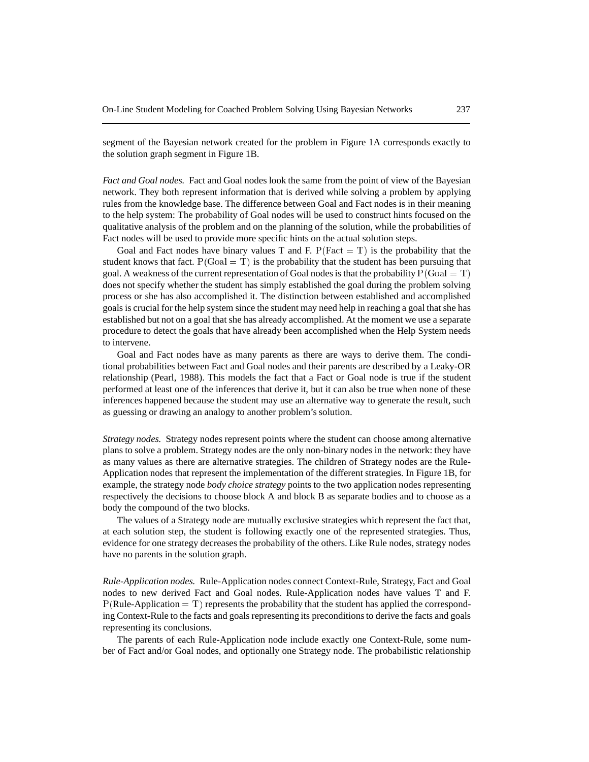segment of the Bayesian network created for the problem in Figure 1A corresponds exactly to the solution graph segment in Figure 1B.

*Fact and Goal nodes.* Fact and Goal nodes look the same from the point of view of the Bayesian network. They both represent information that is derived while solving a problem by applying rules from the knowledge base. The difference between Goal and Fact nodes is in their meaning to the help system: The probability of Goal nodes will be used to construct hints focused on the qualitative analysis of the problem and on the planning of the solution, while the probabilities of Fact nodes will be used to provide more specific hints on the actual solution steps.

Goal and Fact nodes have binary values T and F.  $P$ (Fact  $= T$ ) is the probability that the student knows that fact.  $P(Goa = T)$  is the probability that the student has been pursuing that goal. A weakness of the current representation of Goal nodes is that the probability  $P(GoaI = T)$ does not specify whether the student has simply established the goal during the problem solving process or she has also accomplished it. The distinction between established and accomplished goals is crucial for the help system since the student may need help in reaching a goal that she has established but not on a goal that she has already accomplished. At the moment we use a separate procedure to detect the goals that have already been accomplished when the Help System needs to intervene.

Goal and Fact nodes have as many parents as there are ways to derive them. The conditional probabilities between Fact and Goal nodes and their parents are described by a Leaky-OR relationship (Pearl, 1988). This models the fact that a Fact or Goal node is true if the student performed at least one of the inferences that derive it, but it can also be true when none of these inferences happened because the student may use an alternative way to generate the result, such as guessing or drawing an analogy to another problem's solution.

*Strategy nodes.* Strategy nodes represent points where the student can choose among alternative plans to solve a problem. Strategy nodes are the only non-binary nodes in the network: they have as many values as there are alternative strategies. The children of Strategy nodes are the Rule-Application nodes that represent the implementation of the different strategies. In Figure 1B, for example, the strategy node *body choice strategy* points to the two application nodes representing respectively the decisions to choose block A and block B as separate bodies and to choose as a body the compound of the two blocks.

The values of a Strategy node are mutually exclusive strategies which represent the fact that, at each solution step, the student is following exactly one of the represented strategies. Thus, evidence for one strategy decreases the probability of the others. Like Rule nodes, strategy nodes have no parents in the solution graph.

*Rule-Application nodes.* Rule-Application nodes connect Context-Rule, Strategy, Fact and Goal nodes to new derived Fact and Goal nodes. Rule-Application nodes have values T and F.  $P(Rule-Application = T)$  represents the probability that the student has applied the corresponding Context-Rule to the facts and goals representing its preconditions to derive the facts and goals representing its conclusions.

The parents of each Rule-Application node include exactly one Context-Rule, some number of Fact and/or Goal nodes, and optionally one Strategy node. The probabilistic relationship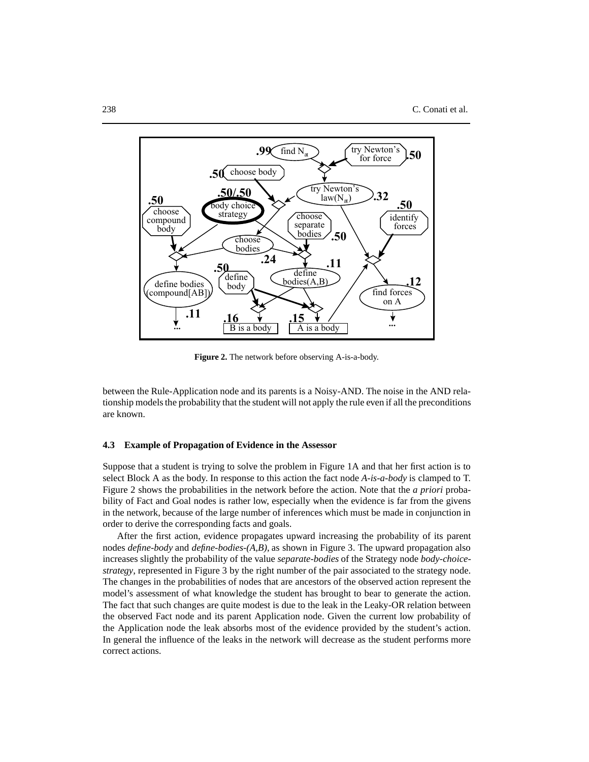

**Figure 2.** The network before observing A-is-a-body.

between the Rule-Application node and its parents is a Noisy-AND. The noise in the AND relationship models the probability that the student will not apply the rule even if all the preconditions are known.

# **4.3 Example of Propagation of Evidence in the Assessor**

Suppose that a student is trying to solve the problem in Figure 1A and that her first action is to select Block A as the body. In response to this action the fact node *A-is-a-body* is clamped to T. Figure 2 shows the probabilities in the network before the action. Note that the *a priori* probability of Fact and Goal nodes is rather low, especially when the evidence is far from the givens in the network, because of the large number of inferences which must be made in conjunction in order to derive the corresponding facts and goals.

After the first action, evidence propagates upward increasing the probability of its parent nodes *define-body* and *define-bodies-(A,B)*, as shown in Figure 3. The upward propagation also increases slightly the probability of the value *separate-bodies* of the Strategy node *body-choicestrategy*, represented in Figure 3 by the right number of the pair associated to the strategy node. The changes in the probabilities of nodes that are ancestors of the observed action represent the model's assessment of what knowledge the student has brought to bear to generate the action. The fact that such changes are quite modest is due to the leak in the Leaky-OR relation between the observed Fact node and its parent Application node. Given the current low probability of the Application node the leak absorbs most of the evidence provided by the student's action. In general the influence of the leaks in the network will decrease as the student performs more correct actions.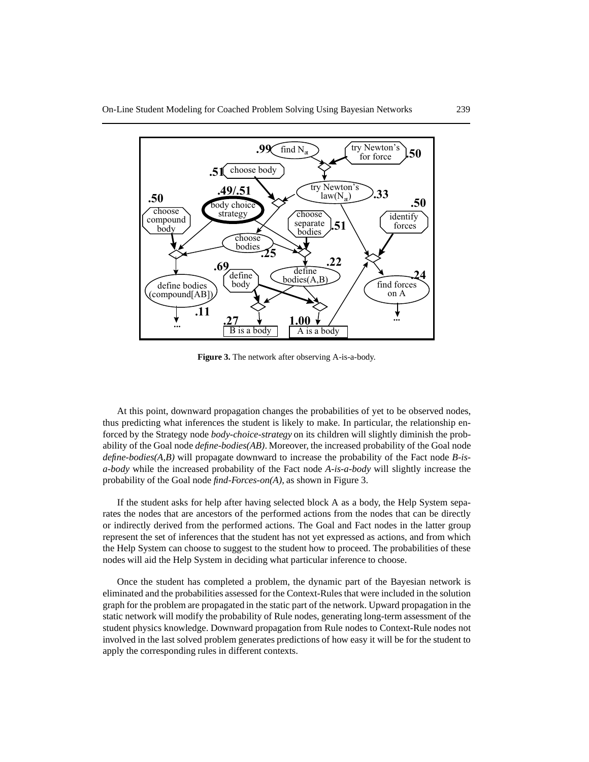

**Figure 3.** The network after observing A-is-a-body.

At this point, downward propagation changes the probabilities of yet to be observed nodes, thus predicting what inferences the student is likely to make. In particular, the relationship enforced by the Strategy node *body-choice-strategy* on its children will slightly diminish the probability of the Goal node *define-bodies(AB)*. Moreover, the increased probability of the Goal node *define-bodies(A,B)* will propagate downward to increase the probability of the Fact node *B-isa-body* while the increased probability of the Fact node *A-is-a-body* will slightly increase the probability of the Goal node *find-Forces-on(A)*, as shown in Figure 3.

If the student asks for help after having selected block A as a body, the Help System separates the nodes that are ancestors of the performed actions from the nodes that can be directly or indirectly derived from the performed actions. The Goal and Fact nodes in the latter group represent the set of inferences that the student has not yet expressed as actions, and from which the Help System can choose to suggest to the student how to proceed. The probabilities of these nodes will aid the Help System in deciding what particular inference to choose.

Once the student has completed a problem, the dynamic part of the Bayesian network is eliminated and the probabilities assessed for the Context-Rules that were included in the solution graph for the problem are propagated in the static part of the network. Upward propagation in the static network will modify the probability of Rule nodes, generating long-term assessment of the student physics knowledge. Downward propagation from Rule nodes to Context-Rule nodes not involved in the last solved problem generates predictions of how easy it will be for the student to apply the corresponding rules in different contexts.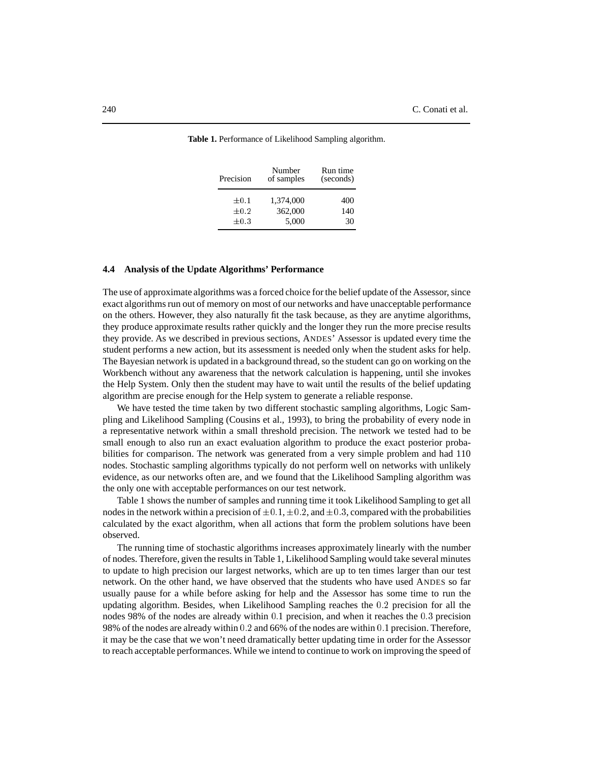| Precision | Number<br>of samples | Run time<br>(seconds) |
|-----------|----------------------|-----------------------|
| $\pm 0.1$ | 1,374,000            | 400                   |
| $\pm 0.2$ | 362,000              | 140                   |
| $\pm 0.3$ | 5.000                | 30                    |

**Table 1.** Performance of Likelihood Sampling algorithm.

### **4.4 Analysis of the Update Algorithms' Performance**

The use of approximate algorithms was a forced choice for the belief update of the Assessor, since exact algorithms run out of memory on most of our networks and have unacceptable performance on the others. However, they also naturally fit the task because, as they are anytime algorithms, they produce approximate results rather quickly and the longer they run the more precise results they provide. As we described in previous sections, ANDES' Assessor is updated every time the student performs a new action, but its assessment is needed only when the student asks for help. The Bayesian network is updated in a background thread, so the student can go on working on the Workbench without any awareness that the network calculation is happening, until she invokes the Help System. Only then the student may have to wait until the results of the belief updating algorithm are precise enough for the Help system to generate a reliable response.

We have tested the time taken by two different stochastic sampling algorithms, Logic Sampling and Likelihood Sampling (Cousins et al., 1993), to bring the probability of every node in a representative network within a small threshold precision. The network we tested had to be small enough to also run an exact evaluation algorithm to produce the exact posterior probabilities for comparison. The network was generated from a very simple problem and had 110 nodes. Stochastic sampling algorithms typically do not perform well on networks with unlikely evidence, as our networks often are, and we found that the Likelihood Sampling algorithm was the only one with acceptable performances on our test network.

Table 1 shows the number of samples and running time it took Likelihood Sampling to get all nodes in the network within a precision of  $\pm 0.1$ ,  $\pm 0.2$ , and  $\pm 0.3$ , compared with the probabilities calculated by the exact algorithm, when all actions that form the problem solutions have been observed.

The running time of stochastic algorithms increases approximately linearly with the number of nodes. Therefore, given the results in Table 1, Likelihood Sampling would take several minutes to update to high precision our largest networks, which are up to ten times larger than our test network. On the other hand, we have observed that the students who have used ANDES so far usually pause for a while before asking for help and the Assessor has some time to run the updating algorithm. Besides, when Likelihood Sampling reaches the 0:2 precision for all the nodes 98% of the nodes are already within 0.1 precision, and when it reaches the 0.3 precision 98% of the nodes are already within 0.2 and 66% of the nodes are within 0.1 precision. Therefore, it may be the case that we won't need dramatically better updating time in order for the Assessor to reach acceptable performances. While we intend to continue to work on improving the speed of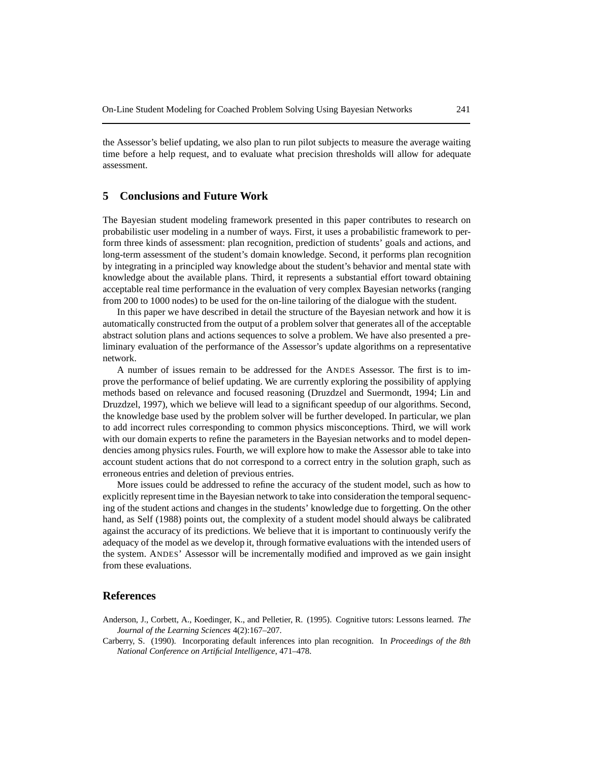the Assessor's belief updating, we also plan to run pilot subjects to measure the average waiting time before a help request, and to evaluate what precision thresholds will allow for adequate assessment.

# **5 Conclusions and Future Work**

The Bayesian student modeling framework presented in this paper contributes to research on probabilistic user modeling in a number of ways. First, it uses a probabilistic framework to perform three kinds of assessment: plan recognition, prediction of students' goals and actions, and long-term assessment of the student's domain knowledge. Second, it performs plan recognition by integrating in a principled way knowledge about the student's behavior and mental state with knowledge about the available plans. Third, it represents a substantial effort toward obtaining acceptable real time performance in the evaluation of very complex Bayesian networks (ranging from 200 to 1000 nodes) to be used for the on-line tailoring of the dialogue with the student.

In this paper we have described in detail the structure of the Bayesian network and how it is automatically constructed from the output of a problem solver that generates all of the acceptable abstract solution plans and actions sequences to solve a problem. We have also presented a preliminary evaluation of the performance of the Assessor's update algorithms on a representative network.

A number of issues remain to be addressed for the ANDES Assessor. The first is to improve the performance of belief updating. We are currently exploring the possibility of applying methods based on relevance and focused reasoning (Druzdzel and Suermondt, 1994; Lin and Druzdzel, 1997), which we believe will lead to a significant speedup of our algorithms. Second, the knowledge base used by the problem solver will be further developed. In particular, we plan to add incorrect rules corresponding to common physics misconceptions. Third, we will work with our domain experts to refine the parameters in the Bayesian networks and to model dependencies among physics rules. Fourth, we will explore how to make the Assessor able to take into account student actions that do not correspond to a correct entry in the solution graph, such as erroneous entries and deletion of previous entries.

More issues could be addressed to refine the accuracy of the student model, such as how to explicitly represent time in the Bayesian network to take into consideration the temporal sequencing of the student actions and changes in the students' knowledge due to forgetting. On the other hand, as Self (1988) points out, the complexity of a student model should always be calibrated against the accuracy of its predictions. We believe that it is important to continuously verify the adequacy of the model as we develop it, through formative evaluations with the intended users of the system. ANDES' Assessor will be incrementally modified and improved as we gain insight from these evaluations.

## **References**

- Anderson, J., Corbett, A., Koedinger, K., and Pelletier, R. (1995). Cognitive tutors: Lessons learned. *The Journal of the Learning Sciences* 4(2):167–207.
- Carberry, S. (1990). Incorporating default inferences into plan recognition. In *Proceedings of the 8th National Conference on Artificial Intelligence*, 471–478.